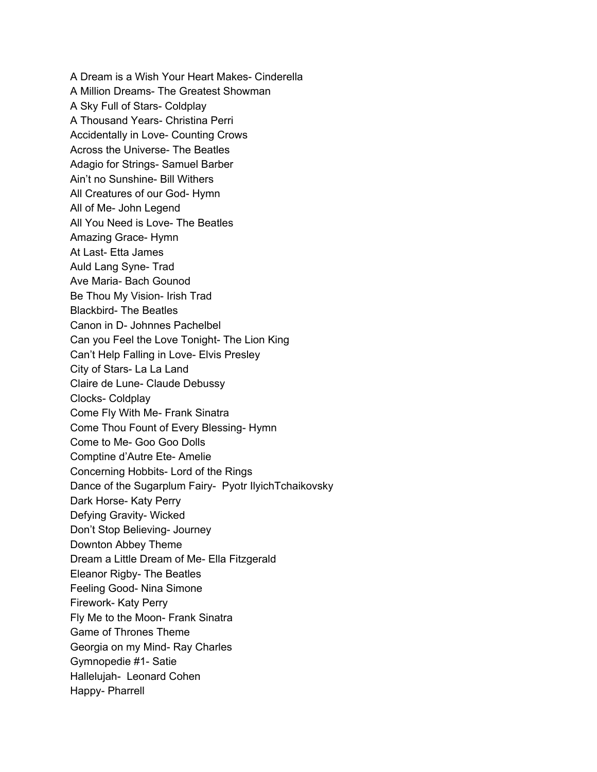A Dream is a Wish Your Heart Makes- Cinderella A Million Dreams- The Greatest Showman A Sky Full of Stars- Coldplay A Thousand Years- Christina Perri Accidentally in Love- Counting Crows Across the Universe- The Beatles Adagio for Strings- Samuel Barber Ain't no Sunshine- Bill Withers All Creatures of our God- Hymn All of Me- John Legend All You Need is Love- The Beatles Amazing Grace- Hymn At Last- Etta James Auld Lang Syne- Trad Ave Maria- Bach Gounod Be Thou My Vision- Irish Trad Blackbird- The Beatles Canon in D- Johnnes Pachelbel Can you Feel the Love Tonight- The Lion King Can't Help Falling in Love- Elvis Presley City of Stars- La La Land Claire de Lune- Claude Debussy Clocks- Coldplay Come Fly With Me- Frank Sinatra Come Thou Fount of Every Blessing- Hymn Come to Me- Goo Goo Dolls Comptine d'Autre Ete- Amelie Concerning Hobbits- Lord of the Rings Dance of the Sugarplum Fairy- Pyotr IlyichTchaikovsky Dark Horse- Katy Perry Defying Gravity- Wicked Don't Stop Believing- Journey Downton Abbey Theme Dream a Little Dream of Me- Ella Fitzgerald Eleanor Rigby- The Beatles Feeling Good- Nina Simone Firework- Katy Perry Fly Me to the Moon- Frank Sinatra Game of Thrones Theme Georgia on my Mind- Ray Charles Gymnopedie #1- Satie Hallelujah- Leonard Cohen Happy- Pharrell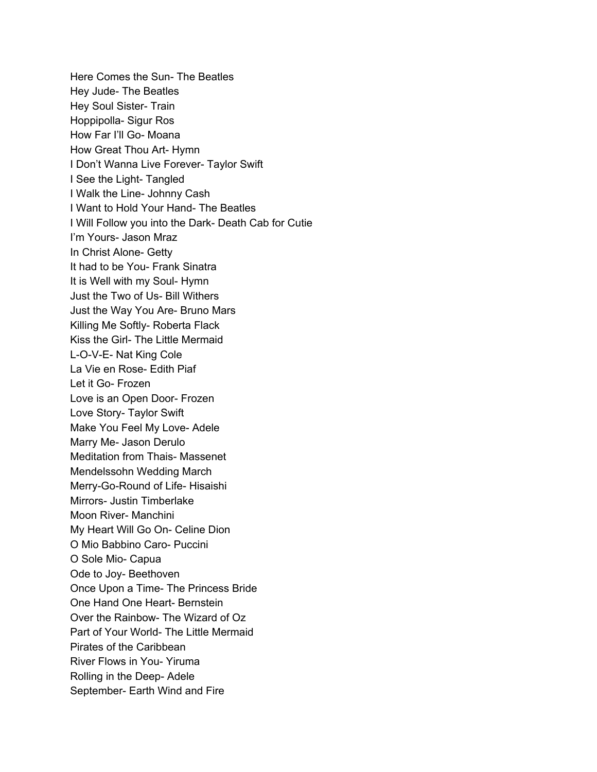Here Comes the Sun- The Beatles Hey Jude- The Beatles Hey Soul Sister- Train Hoppipolla- Sigur Ros How Far I'll Go- Moana How Great Thou Art- Hymn I Don't Wanna Live Forever- Taylor Swift I See the Light- Tangled I Walk the Line- Johnny Cash I Want to Hold Your Hand- The Beatles I Will Follow you into the Dark- Death Cab for Cutie I'm Yours- Jason Mraz In Christ Alone- Getty It had to be You- Frank Sinatra It is Well with my Soul- Hymn Just the Two of Us- Bill Withers Just the Way You Are- Bruno Mars Killing Me Softly- Roberta Flack Kiss the Girl- The Little Mermaid L-O-V-E- Nat King Cole La Vie en Rose- Edith Piaf Let it Go- Frozen Love is an Open Door- Frozen Love Story- Taylor Swift Make You Feel My Love- Adele Marry Me- Jason Derulo Meditation from Thais- Massenet Mendelssohn Wedding March Merry-Go-Round of Life- Hisaishi Mirrors- Justin Timberlake Moon River- Manchini My Heart Will Go On- Celine Dion O Mio Babbino Caro- Puccini O Sole Mio- Capua Ode to Joy- Beethoven Once Upon a Time- The Princess Bride One Hand One Heart- Bernstein Over the Rainbow- The Wizard of Oz Part of Your World- The Little Mermaid Pirates of the Caribbean River Flows in You- Yiruma Rolling in the Deep- Adele September- Earth Wind and Fire